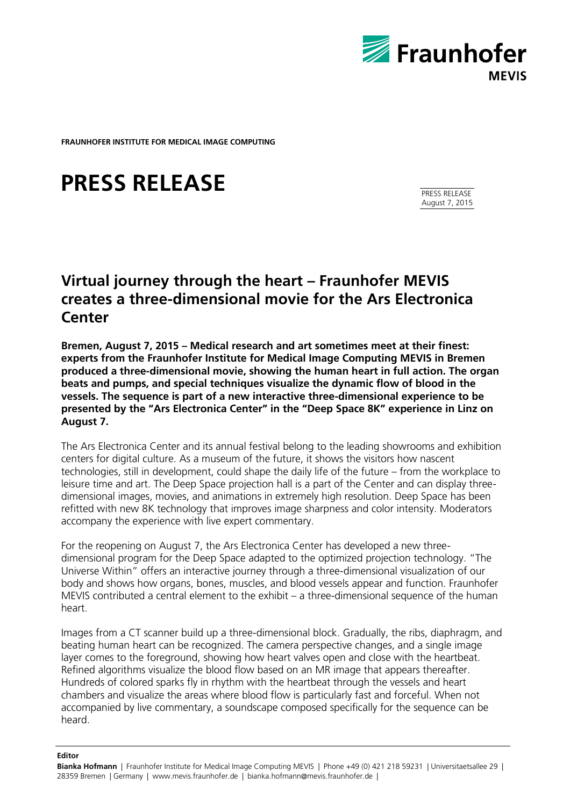

**FRAUNHOFER INSTITUTE FOR MEDICAL IMAGE COMPUTING**

# **PRESS RELEASE**

PRESS RELEASE August 7, 2015

## **Virtual journey through the heart – Fraunhofer MEVIS creates a three-dimensional movie for the Ars Electronica Center**

**Bremen, August 7, 2015 – Medical research and art sometimes meet at their finest: experts from the Fraunhofer Institute for Medical Image Computing MEVIS in Bremen produced a three-dimensional movie, showing the human heart in full action. The organ beats and pumps, and special techniques visualize the dynamic flow of blood in the vessels. The sequence is part of a new interactive three-dimensional experience to be presented by the "Ars Electronica Center" in the "Deep Space 8K" experience in Linz on August 7.**

The Ars Electronica Center and its annual festival belong to the leading showrooms and exhibition centers for digital culture. As a museum of the future, it shows the visitors how nascent technologies, still in development, could shape the daily life of the future – from the workplace to leisure time and art. The Deep Space projection hall is a part of the Center and can display threedimensional images, movies, and animations in extremely high resolution. Deep Space has been refitted with new 8K technology that improves image sharpness and color intensity. Moderators accompany the experience with live expert commentary.

For the reopening on August 7, the Ars Electronica Center has developed a new threedimensional program for the Deep Space adapted to the optimized projection technology. "The Universe Within" offers an interactive journey through a three-dimensional visualization of our body and shows how organs, bones, muscles, and blood vessels appear and function. Fraunhofer MEVIS contributed a central element to the exhibit – a three-dimensional sequence of the human heart.

Images from a CT scanner build up a three-dimensional block. Gradually, the ribs, diaphragm, and beating human heart can be recognized. The camera perspective changes, and a single image layer comes to the foreground, showing how heart valves open and close with the heartbeat. Refined algorithms visualize the blood flow based on an MR image that appears thereafter. Hundreds of colored sparks fly in rhythm with the heartbeat through the vessels and heart chambers and visualize the areas where blood flow is particularly fast and forceful. When not accompanied by live commentary, a soundscape composed specifically for the sequence can be heard.

#### **Editor**

**Bianka Hofmann** | Fraunhofer Institute for Medical Image Computing MEVIS | Phone +49 (0) 421 218 59231 | Universitaetsallee 29 | 28359 Bremen | Germany | www.mevis.fraunhofer.de | bianka.hofmann@mevis.fraunhofer.de |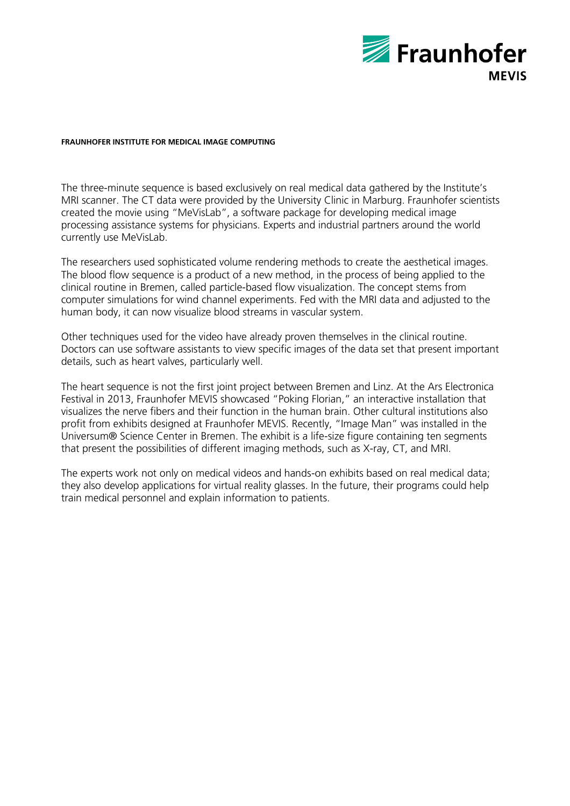

### **FRAUNHOFER INSTITUTE FOR MEDICAL IMAGE COMPUTING**

The three-minute sequence is based exclusively on real medical data gathered by the Institute's MRI scanner. The CT data were provided by the University Clinic in Marburg. Fraunhofer scientists created the movie using "MeVisLab", a software package for developing medical image processing assistance systems for physicians. Experts and industrial partners around the world currently use MeVisLab.

The researchers used sophisticated volume rendering methods to create the aesthetical images. The blood flow sequence is a product of a new method, in the process of being applied to the clinical routine in Bremen, called particle-based flow visualization. The concept stems from computer simulations for wind channel experiments. Fed with the MRI data and adjusted to the human body, it can now visualize blood streams in vascular system.

Other techniques used for the video have already proven themselves in the clinical routine. Doctors can use software assistants to view specific images of the data set that present important details, such as heart valves, particularly well.

The heart sequence is not the first joint project between Bremen and Linz. At the Ars Electronica Festival in 2013, Fraunhofer MEVIS showcased "Poking Florian," an interactive installation that visualizes the nerve fibers and their function in the human brain. Other cultural institutions also profit from exhibits designed at Fraunhofer MEVIS. Recently, "Image Man" was installed in the Universum® Science Center in Bremen. The exhibit is a life-size figure containing ten segments that present the possibilities of different imaging methods, such as X-ray, CT, and MRI.

The experts work not only on medical videos and hands-on exhibits based on real medical data; they also develop applications for virtual reality glasses. In the future, their programs could help train medical personnel and explain information to patients.